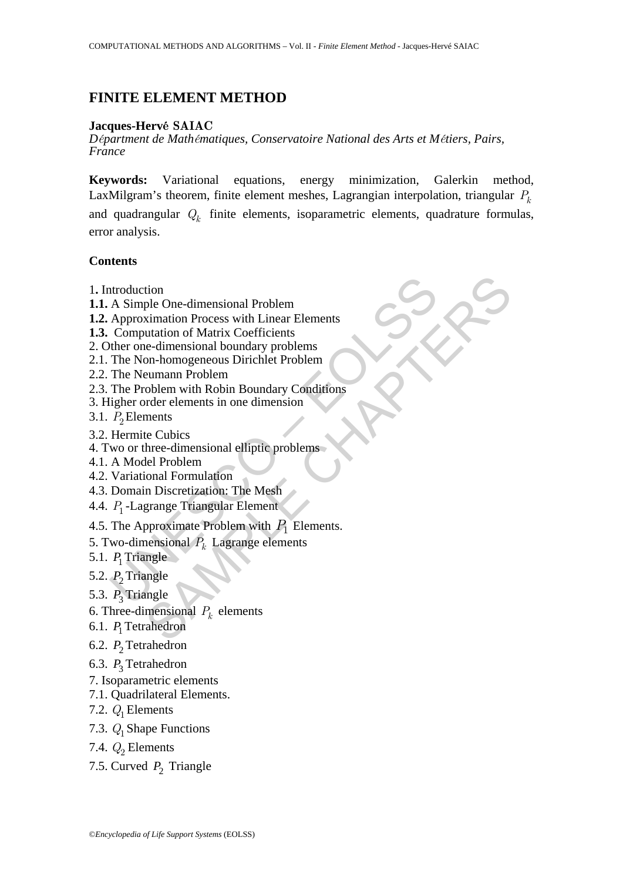# **FINITE ELEMENT METHOD**

# **Jacques-Hervé SAIAC**

*Départment de Mathématiques, Conservatoire National des Arts et Métiers, Pairs, France*

**Keywords:** Variational equations, energy minimization, Galerkin method, LaxMilgram's theorem, finite element meshes, Lagrangian interpolation, triangular  $P_k$ and quadrangular *Qk* finite elements, isoparametric elements, quadrature formulas, error analysis.

## **Contents**

- 1**.** Introduction
- **1.1.** A Simple One-dimensional Problem
- **1.2.** Approximation Process with Linear Elements
- **1.3.** Computation of Matrix Coefficients
- 2. Other one-dimensional boundary problems
- 2.1. The Non-homogeneous Dirichlet Problem
- 2.2. The Neumann Problem
- troduction<br>
A Simple One-dimensional Problem<br>
Approximation Process with Linear Elements<br>
Computation of Matrix Coefficients<br>
The Non-homogeneous Dirichlet Problem<br>
The Neumann Problem<br>
The Problem with Robin Boundary Con tion<br>ple One-dimensional Problem<br>ximation Process with Linear Elements<br>utatation of Matrix Coefficients<br>e-dimensional boundary problems<br>on-homogeneous Dirichlet Problem<br>with Robin Boundary Conditions<br>order elements in one 2.3. The Problem with Robin Boundary Conditions
- 3. Higher order elements in one dimension
- 3.1.  $P_2$  Elements
- 3.2. Hermite Cubics
- 4. Two or three-dimensional elliptic problems
- 4.1. A Model Problem
- 4.2. Variational Formulation
- 4.3. Domain Discretization: The Mesh
- 4.4. *P*<sup>1</sup> -Lagrange Triangular Element
- 4.5. The Approximate Problem with  $P_1$  Elements.
- 5. Two-dimensional  $P_k$  Lagrange elements
- 5.1.  $P_1$  Triangle
- 5.2. *P*<sub>2</sub> Triangle
- 5.3. P<sub>3</sub> Triangle
- 6. Three-dimensional  $P_k$  elements
- 6.1. *P*<sub>1</sub> Tetrahedron
- 6.2. 2*P* Tetrahedron
- 6.3. P<sub>3</sub> Tetrahedron
- 7. Isoparametric elements
- 7.1. Quadrilateral Elements.
- 7.2.  $Q_1$  Elements
- 7.3. *Q*<sup>1</sup> Shape Functions
- 7.4.  $Q_2$  Elements
- 7.5. Curved  $P_2$  Triangle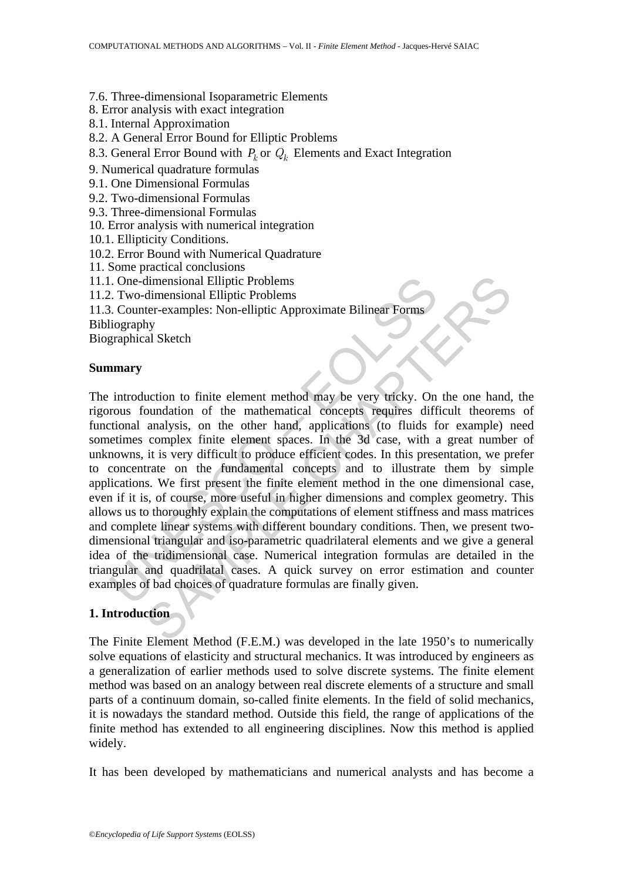### 7.6. Three-dimensional Isoparametric Elements

8. Error analysis with exact integration

- 8.1. Internal Approximation
- 8.2. A General Error Bound for Elliptic Problems
- 8.3. General Error Bound with  $P_k$  or  $Q_k$  Elements and Exact Integration
- 9. Numerical quadrature formulas
- 9.1. One Dimensional Formulas
- 9.2. Two-dimensional Formulas
- 9.3. Three-dimensional Formulas
- 10. Error analysis with numerical integration
- 10.1. Ellipticity Conditions.
- 10.2. Error Bound with Numerical Quadrature
- 11. Some practical conclusions
- 11.1. One-dimensional Elliptic Problems
- 11.2. Two-dimensional Elliptic Problems

11.3. Counter-examples: Non-elliptic Approximate Bilinear Forms

Bibliography

Biographical Sketch

### **Summary**

Concert Contents and Contents and Conserved Telliptic Scotter-Examples: Non-elliptic Approximate Bilinear Forms<br>
Scotter-examples: Non-elliptic Approximate Bilinear Forms<br>
Universignal Sketch<br>
1. Compare Terminical Sketch<br> dimensional Elliptic Problems<br>
dimensional Elliptic Problems<br>
ther-examples: Non-elliptic Approximate Bilinear Forms<br>
hy<br>
al Sketch<br>
al Sketch<br>
al Sketch<br>
al Sketch<br>
al Sketch<br>
al Sketch<br>
al Sketch<br>
al Sketch<br>
al Sketch<br>
a The introduction to finite element method may be very tricky. On the one hand, the rigorous foundation of the mathematical concepts requires difficult theorems of functional analysis, on the other hand, applications (to fluids for example) need sometimes complex finite element spaces. In the 3d case, with a great number of unknowns, it is very difficult to produce efficient codes. In this presentation, we prefer to concentrate on the fundamental concepts and to illustrate them by simple applications. We first present the finite element method in the one dimensional case, even if it is, of course, more useful in higher dimensions and complex geometry. This allows us to thoroughly explain the computations of element stiffness and mass matrices and complete linear systems with different boundary conditions. Then, we present twodimensional triangular and iso-parametric quadrilateral elements and we give a general idea of the tridimensional case. Numerical integration formulas are detailed in the triangular and quadrilatal cases. A quick survey on error estimation and counter examples of bad choices of quadrature formulas are finally given.

# **1. Introduction**

The Finite Element Method (F.E.M.) was developed in the late 1950's to numerically solve equations of elasticity and structural mechanics. It was introduced by engineers as a generalization of earlier methods used to solve discrete systems. The finite element method was based on an analogy between real discrete elements of a structure and small parts of a continuum domain, so-called finite elements. In the field of solid mechanics, it is nowadays the standard method. Outside this field, the range of applications of the finite method has extended to all engineering disciplines. Now this method is applied widely.

It has been developed by mathematicians and numerical analysts and has become a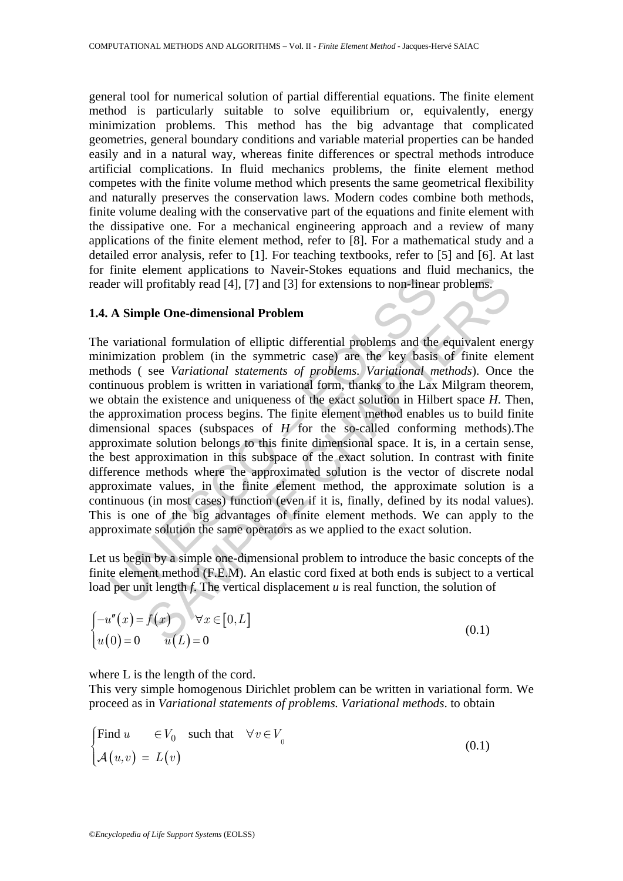general tool for numerical solution of partial differential equations. The finite element method is particularly suitable to solve equilibrium or, equivalently, energy minimization problems. This method has the big advantage that complicated geometries, general boundary conditions and variable material properties can be handed easily and in a natural way, whereas finite differences or spectral methods introduce artificial complications. In fluid mechanics problems, the finite element method competes with the finite volume method which presents the same geometrical flexibility and naturally preserves the conservation laws. Modern codes combine both methods, finite volume dealing with the conservative part of the equations and finite element with the dissipative one. For a mechanical engineering approach and a review of many applications of the finite element method, refer to [8]. For a mathematical study and a detailed error analysis, refer to [1]. For teaching textbooks, refer to [5] and [6]. At last for finite element applications to Naveir-Stokes equations and fluid mechanics, the reader will profitably read [4], [7] and [3] for extensions to non-linear problems.

#### **1.4. A Simple One-dimensional Problem**

ler will profitably read [4], [7] and [3] for extensions to non-linear<br>
A Simple One-dimensional Problem<br>
variational formulation of elliptic differential problems and the<br>
imization problem (in the symmetric case) are th profitably read [4], [7] and [3] for extensions to non-linear problems.<br>
profitably read [4], [7] and [3] for extensions to non-linear problems.<br>
ple One-dimensional Problem<br>
conal formulation of elliptic differential pro The variational formulation of elliptic differential problems and the equivalent energy minimization problem (in the symmetric case) are the key basis of finite element methods ( see *Variational statements of problems. Variational methods*). Once the continuous problem is written in variational form, thanks to the Lax Milgram theorem, we obtain the existence and uniqueness of the exact solution in Hilbert space *H*. Then, the approximation process begins. The finite element method enables us to build finite dimensional spaces (subspaces of *H* for the so-called conforming methods).The approximate solution belongs to this finite dimensional space. It is, in a certain sense, the best approximation in this subspace of the exact solution. In contrast with finite difference methods where the approximated solution is the vector of discrete nodal approximate values, in the finite element method, the approximate solution is a continuous (in most cases) function (even if it is, finally, defined by its nodal values). This is one of the big advantages of finite element methods. We can apply to the approximate solution the same operators as we applied to the exact solution.

Let us begin by a simple one-dimensional problem to introduce the basic concepts of the finite element method (F.E.M). An elastic cord fixed at both ends is subject to a vertical load per unit length *f*. The vertical displacement *u* is real function, the solution of

$$
\begin{cases}\n-u''(x) = f(x) & \forall x \in [0, L] \\
u(0) = 0 & u(L) = 0\n\end{cases}
$$
\n(0.1)

where L is the length of the cord.

This very simple homogenous Dirichlet problem can be written in variational form. We proceed as in *Variational statements of problems. Variational methods*. to obtain

$$
\begin{cases}\n\text{Find } u & \in V_0 \quad \text{such that} \quad \forall v \in V_0 \\
\mathcal{A}(u, v) = L(v)\n\end{cases} \tag{0.1}
$$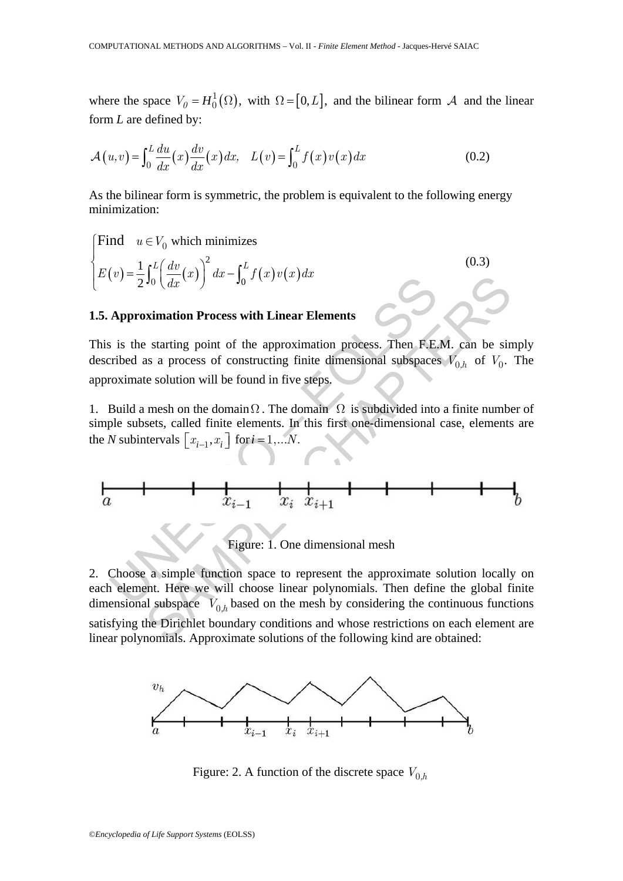where the space  $V_0 = H_0^1(\Omega)$ , with  $\Omega = [0, L]$ , and the bilinear form A and the linear form *L* are defined by:

$$
\mathcal{A}(u,v) = \int_0^L \frac{du}{dx}(x) \frac{dv}{dx}(x) dx, \quad L(v) = \int_0^L f(x)v(x) dx \tag{0.2}
$$

As the bilinear form is symmetric, the problem is equivalent to the following energy minimization:

$$
\begin{cases}\n\text{Find} & u \in V_0 \text{ which minimizes} \\
E(v) = \frac{1}{2} \int_0^L \left(\frac{dv}{dx}(x)\right)^2 dx - \int_0^L f(x)v(x) dx\n\end{cases} \tag{0.3}
$$

# **1.5. Approximation Process with Linear Elements**

This is the starting point of the approximation process. Then F.E.M. can be simply described as a process of constructing finite dimensional subspaces  $V_{0,h}$  of  $V_0$ . The approximate solution will be found in five steps.

1. Build a mesh on the domain  $\Omega$ . The domain  $\Omega$  is subdivided into a finite number of simple subsets, called finite elements. In this first one-dimensional case, elements are the *N* subintervals  $[x_{i-1}, x_i]$  for  $i = 1,...N$ .

$$
E(v) = \frac{1}{2} \int_0^{\infty} \left( \frac{dx}{dx}(x) \right)^{u} dx = \int_0^{\infty} f(x) v(x) dx
$$
  
5. Approximation Process with Linear Elements  
his is the starting point of the approximation process. Then F.E.M. can be simp-  
sscribed as a process of constructing finite dimensional subspaces  $V_{0,h}$  of  $V_0$ . TI  
oproximate solution will be found in five steps.  
Build a mesh on the domain  $\Omega$ . The domain  $\Omega$  is subdivided into a finite number  
mple subsets, called finite elements. In this first one-dimensional case, elements a  
ne N subintervals  $\left[ x_{i-1}, x_i \right]$  for  $i = 1,...N$ .  
  
a  
 $x_i - 1$   $x_i$   $x_{i+1}$   
Figure: 1. One dimensional mesh  
ack element. Here we will choose linear polynomials. Then define the global fini  
imensional subspace V. based on the mesh by considering the continuous functions

Figure: 1. One dimensional mesh

 $J_0$   $\left(\frac{1}{dx}(x)\right)$   $ax - J_0$   $J(x)v(x)ax$ <br>
sximation Process with Linear Elements<br>
starting point of the approximation process. Then F.E.M. can be sin<br>
as a process of constructing finite dimensional subspaces  $V_{0,h}$  of  $V_$ 2. Choose a simple function space to represent the approximate solution locally on each element. Here we will choose linear polynomials. Then define the global finite dimensional subspace  $V_{0,h}$  based on the mesh by considering the continuous functions satisfying the Dirichlet boundary conditions and whose restrictions on each element are linear polynomials. Approximate solutions of the following kind are obtained:



Figure: 2. A function of the discrete space  $V_{0,h}$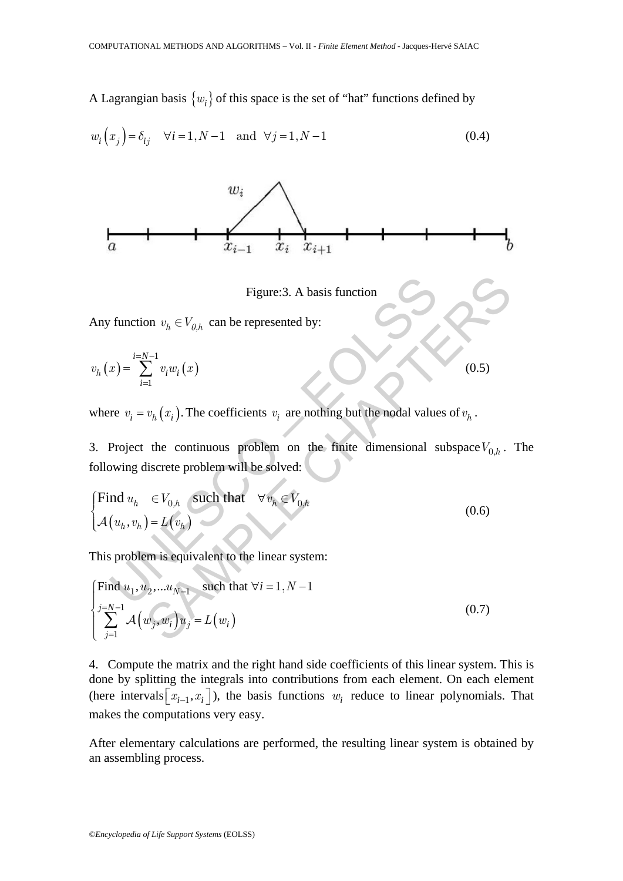A Lagrangian basis  $\{w_i\}$  of this space is the set of "hat" functions defined by

$$
w_i(x_j) = \delta_{ij} \quad \forall i = 1, N - 1 \quad \text{and} \quad \forall j = 1, N - 1 \tag{0.4}
$$



Figure:3. A basis function

Any function  $v_h \in V_{0,h}$  can be represented by:

$$
v_h\left(x\right)=\sum_{i=1}^{i=N-1}v_iw_i\left(x\right)
$$

where  $v_i = v_h(x_i)$ . The coefficients  $v_i$  are nothing but the nodal values of  $v_h$ .

3. Project the continuous problem on the finite dimensional subspace  $V_{0,h}$ . The following discrete problem will be solved:

 $(0.5)$ 

Figure:3. A basis function  
\nAny function 
$$
v_h \,\epsilon V_{0,h}
$$
 can be represented by:  
\n
$$
v_h(x) = \sum_{i=1}^{i=N-1} v_i w_i(x)
$$
\nwhere  $v_i = v_h(x_i)$ . The coefficients  $v_i$  are nothing but the nodal values of  $v_h$ .  
\n3. Project the continuous problem on the finite dimensional subspace  $V_0$   
\nfollowing discrete problem will be solved:  
\n
$$
\begin{cases}\n\text{Find } u_h \in V_{0,h} \text{ such that } \forall v_h \in V_{0,h} \\
\mathcal{A}(u_h, v_h) = L(v_h)\n\end{cases}
$$
\n(0.6)  
\nThis problem is equivalent to the linear system:  
\n
$$
\begin{cases}\n\text{Find } u_1, u_2, \dots u_{N-1} \text{ such that } \forall i = 1, N-1\n\end{cases}
$$

This problem is equivalent to the linear system:

Figure:3. A basis function  
\nAny function 
$$
v_h \in V_{0,h}
$$
 can be represented by:  
\n
$$
v_h(x) = \sum_{i=1}^{i=N-1} v_i w_i(x)
$$
\nwhere  $v_i = v_h(x_i)$ . The coefficients  $v_i$  are nothing but the nodal values of  $v_h$ .  
\n3. Project the continuous problem on the finite dimensional subspace  $V_{0,h}$ .  
\nfollowing discrete problem will be solved:  
\n
$$
\begin{cases}\n\text{Find } u_h \in V_{0,h} \text{ such that } \forall v_h \in V_{0,h} \\
\mathcal{A}(u_h, v_h) = L(v_h)\n\end{cases}
$$
\n(0.6)  
\nThis problem is equivalent to the linear system:  
\n
$$
\begin{cases}\n\text{Find } u_1, u_2, \dots u_{N-1} \text{ such that } \forall i = 1, N-1 \\
\sum_{j=1}^{j=N-1} \mathcal{A}(w_j, w_i) u_j = L(w_i)\n\end{cases}
$$
\n(0.7)

4. Compute the matrix and the right hand side coefficients of this linear system. This is done by splitting the integrals into contributions from each element. On each element (here intervals  $[x_{i-1}, x_i]$ ), the basis functions  $w_i$  reduce to linear polynomials. That makes the computations very easy.

After elementary calculations are performed, the resulting linear system is obtained by an assembling process.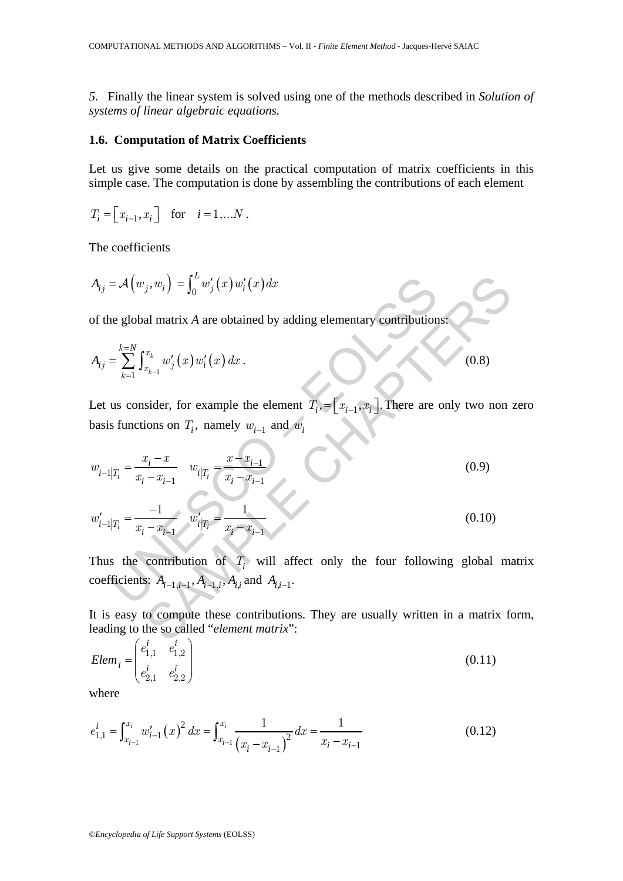*5.* Finally the linear system is solved using one of the methods described in *Solution of systems of linear algebraic equations.* 

#### **1.6. Computation of Matrix Coefficients**

Let us give some details on the practical computation of matrix coefficients in this simple case. The computation is done by assembling the contributions of each element

$$
T_i = \begin{bmatrix} x_{i-1}, x_i \end{bmatrix} \quad \text{for} \quad i = 1,...N \, .
$$

The coefficients

$$
A_{ij} = \mathcal{A}(w_j, w_i) = \int_0^L w'_j(x) w'_i(x) dx
$$

of the global matrix *A* are obtained by adding elementary contributions:

$$
A_{ij} = \sum_{k=1}^{k=N} \int_{x_{k-1}}^{x_k} w'_j(x) w'_i(x) dx.
$$
 (0.8)

Let us consider, for example the element  $T_i$ ,  $=[x_{i-1}, x_i]$ . There are only two non zero basis functions on  $T_i$ , namely  $w_{i-1}$  and  $w_i$ 

$$
A_{ij} = \mathcal{A}(w_j, w_i) = \int_0^L w'_j(x) w'_i(x) dx
$$
  
of the global matrix A are obtained by adding elementary contributions:  

$$
A_{ij} = \sum_{k=1}^{k=N} \int_{x_{k-1}}^{x_k} w'_j(x) w'_i(x) dx.
$$
(0.8)  
Let us consider, for example the element  $T_i = [x_{i-1}, x_i]$ . There are only two non  
basis functions on  $T_i$ , namely  $w_{i-1}$  and  $w_i$   

$$
w_{i-1}|T_i = \frac{x_i - x}{x_i - x_{i-1}} \quad w_{i}|T_i = \frac{x - x_{i-1}}{x_i - x_{i-1}}
$$
(0.9)  

$$
w'_{i-1}|T_i = \frac{1}{x_i - x_{i-1}} \quad w'_{i}|T_i = \frac{1}{x_i - x_{i-1}}
$$
(0.10)  
Thus the contribution of  $T_i$  will affect only the four following global macoefficients:  $A_{i-1,i-1}, A_{i-1,i}, A_{i,i}$  and  $A_{i,i-1}$ .  
It is easy to compute these contributions. They are usually written in a matrix fo  
leading to the so called "element matrix":

Thus the contribution of *T<sub>i</sub>* will affect only the four following global matrix coefficients:  $A_{i-1,i-1}, A_{i-1,i}, A_{i,i}$  and  $A_{i,i-1}$ .

It is easy to compute these contributions. They are usually written in a matrix form, leading to the so called "*element matrix*":

$$
Elem_i = \begin{pmatrix} e_{1,1}^i & e_{1,2}^i \\ e_{2,1}^i & e_{2,2}^i \end{pmatrix}
$$
 (0.11)

where

$$
e_{1,1}^i = \int_{x_{i-1}}^{x_i} w_{i-1}'(x)^2 dx = \int_{x_{i-1}}^{x_i} \frac{1}{(x_i - x_{i-1})^2} dx = \frac{1}{x_i - x_{i-1}}
$$
(0.12)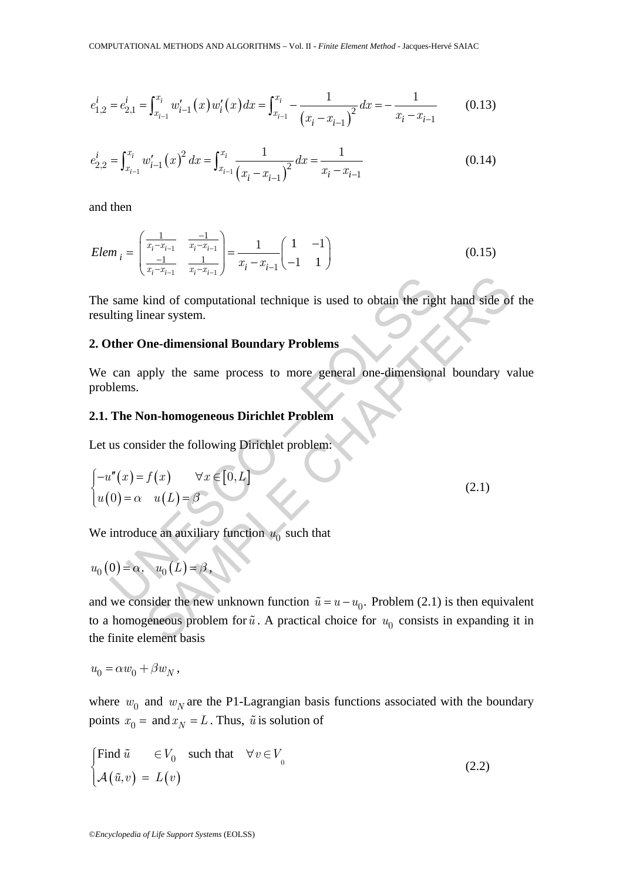$$
e_{1,2}^i = e_{2,1}^i = \int_{x_{i-1}}^{x_i} w_{i-1}'(x) w_i'(x) dx = \int_{x_{i-1}}^{x_i} -\frac{1}{(x_i - x_{i-1})^2} dx = -\frac{1}{x_i - x_{i-1}} \tag{0.13}
$$

$$
e_{2,2}^i = \int_{x_{i-1}}^{x_i} w_{i-1}'(x)^2 dx = \int_{x_{i-1}}^{x_i} \frac{1}{(x_i - x_{i-1})^2} dx = \frac{1}{x_i - x_{i-1}}
$$
(0.14)

and then

$$
Elem_{i} = \begin{pmatrix} \frac{1}{x_{i} - x_{i-1}} & \frac{-1}{x_{i} - x_{i-1}} \\ \frac{-1}{x_{i} - x_{i-1}} & \frac{1}{x_{i} - x_{i-1}} \end{pmatrix} = \frac{1}{x_{i} - x_{i-1}} \begin{pmatrix} 1 & -1 \\ -1 & 1 \end{pmatrix}
$$
(0.15)

The same kind of computational technique is used to obtain the right hand side of the resulting linear system.

### **2. Other One-dimensional Boundary Problems**

We can apply the same process to more general one-dimensional boundary value problems.

#### **2.1. The Non-homogeneous Dirichlet Problem**

Let us consider the following Dirichlet problem:

The same kind of computational technique is used to obtain the right hand side  
resulting linear system.  
**2. Other One-dimensional Boundary Problems**  
We can apply the same process to more general one-dimensional boundary  
problems.  
**2.1. The Non-homogeneous Dirichlet Problem**  
Let us consider the following Dirichlet problem:  

$$
\begin{cases}\n-u''(x) = f(x) & \forall x \in [0, L] \\
u(0) = \alpha & u(L) = \beta\n\end{cases}
$$
 $(2.1)$   
We introduce an auxiliary function  $u_0$  such that  
 $u_0(0) = \alpha$ ,  $u_0(L) = \beta$ ,  
and we consider the new unknown function  $\tilde{u} = u - u_0$ . Problem (2.1) is then equ

We introduce an auxiliary function  $u_0$  such that

$$
u_0(0) = \alpha, \quad u_0(L) = \beta,
$$

Alternative is used to obtain the right hand side of<br>near system.<br>**Dne-dimensional Boundary Problems**<br>pply the same process to more general one-dimensional boundary v<br>on-homogeneous Dirichlet Problem:<br> $f(x) \quad \forall x \in [0, L]$ <br> $u$ and we consider the new unknown function  $\tilde{u} = u - u_0$ . Problem (2.1) is then equivalent to a homogeneous problem for  $\tilde{u}$ . A practical choice for  $u_0$  consists in expanding it in the finite element basis

 $u_0 = \alpha w_0 + \beta w_N$ ,

where  $w_0$  and  $w_N$  are the P1-Lagrangian basis functions associated with the boundary points  $x_0 =$  and  $x_N = L$ . Thus,  $\tilde{u}$  is solution of

$$
\begin{cases}\n\text{Find } \tilde{u} & \in V_0 \quad \text{such that} \quad \forall v \in V_0 \\
\mathcal{A}(\tilde{u}, v) = L(v)\n\end{cases} \tag{2.2}
$$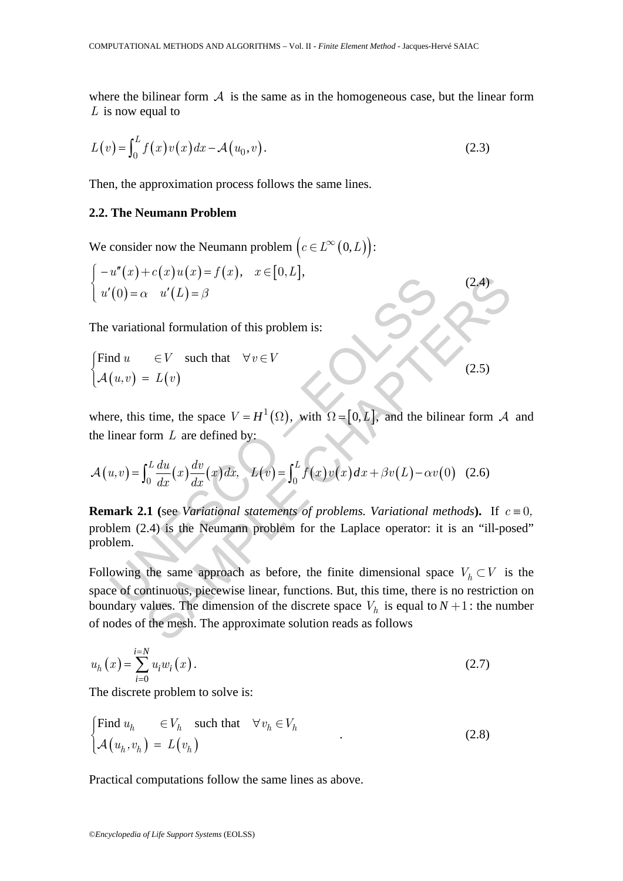where the bilinear form  $A$  is the same as in the homogeneous case, but the linear form *L* is now equal to

$$
L(v) = \int_0^L f(x)v(x)dx - \mathcal{A}(u_0, v).
$$
 (2.3)

Then, the approximation process follows the same lines.

### **2.2. The Neumann Problem**

We consider now the Neumann problem  $(c \in L^{\infty}(0,L))$ :

$$
\begin{cases}\n-u''(x) + c(x)u(x) = f(x), & x \in [0, L], \\
u'(0) = \alpha & u'(L) = \beta\n\end{cases}
$$
\n(2.4)

The variational formulation of this problem is:

$$
\begin{cases}\n\text{Find } u & \in V \quad \text{such that} \quad \forall v \in V \\
\mathcal{A}(u, v) = L(v)\n\end{cases}
$$
\n(2.5)

where, this time, the space  $V = H^1(\Omega)$ , with  $\Omega = [0, L]$ , and the bilinear form A and the linear form *L* are defined by:

$$
\mathcal{A}(u,v) = \int_0^L \frac{du}{dx}(x) \frac{dv}{dx}(x) dx, \quad L(v) = \int_0^L f(x)v(x) dx + \beta v(L) - \alpha v(0) \quad (2.6)
$$

(a)  $u(x) + c(x)u(x) - f(x)$ ,  $x \in [0,1]$ ,<br>
(b)  $= \alpha$   $u'(L) = \beta$ <br>
variational formulation of this problem is:<br>
and  $u \in V$  such that  $\forall v \in V$ <br>
( $u, v$ ) =  $L(v)$ <br>
re, this time, the space  $V = H^1(\Omega)$ , with  $\Omega = [0, L]$ , and the bil<br>
linea **Remark 2.1** (see *Variational statements of problems. Variational methods*). If  $c = 0$ , problem (2.4) is the Neumann problem for the Laplace operator: it is an "ill-posed" problem.

C<sub>A</sub> $y$ <br>  $x$   $u'(L) = \beta$ <br>
onal formulation of this problem is:<br>  $\in V$  such that  $\forall v \in V$ <br>  $L(v)$ <br>
time, the space  $V = H^1(\Omega)$ , with  $\Omega = [0, L]$ , and the bilinear form A<br>
orm L are defined by:<br>  $\int_0^L \frac{du}{dx}(x) \frac{dv}{dx}(x) dx$ ,  $L(v)$ Following the same approach as before, the finite dimensional space  $V_h \subset V$  is the space of continuous, piecewise linear, functions. But, this time, there is no restriction on boundary values. The dimension of the discrete space  $V_h$  is equal to  $N+1$ : the number of nodes of the mesh. The approximate solution reads as follows

$$
u_h(x) = \sum_{i=0}^{i=N} u_i w_i(x).
$$
 (2.7)

The discrete problem to solve is:

$$
\begin{cases}\n\text{Find } u_h & \in V_h \quad \text{such that} \quad \forall v_h \in V_h \\
\mathcal{A}(u_h, v_h) = L(v_h)\n\end{cases} \tag{2.8}
$$

Practical computations follow the same lines as above.